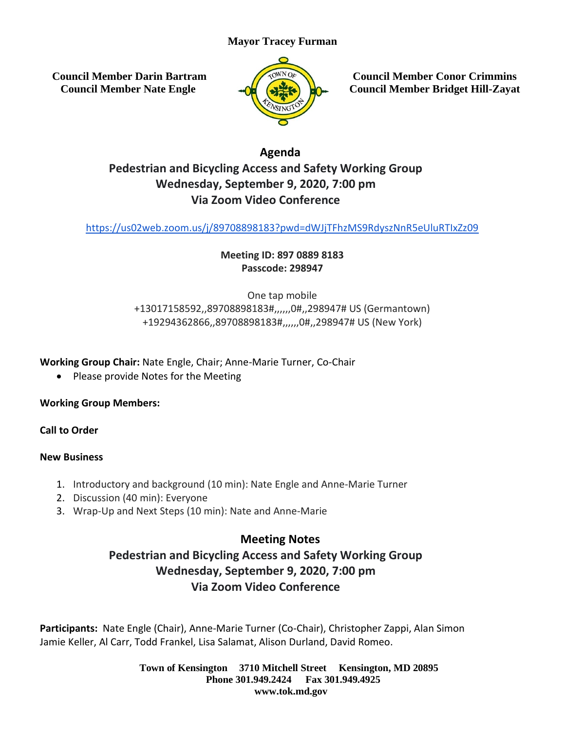# **Mayor Tracey Furman**

**Council Member Darin Bartram Council Member Nate Engle**



**Council Member Conor Crimmins Council Member Bridget Hill-Zayat**

# **Agenda Pedestrian and Bicycling Access and Safety Working Group Wednesday, September 9, 2020, 7:00 pm Via Zoom Video Conference**

<https://us02web.zoom.us/j/89708898183?pwd=dWJjTFhzMS9RdyszNnR5eUluRTIxZz09>

## **Meeting ID: 897 0889 8183 Passcode: 298947**

One tap mobile +13017158592,,89708898183#,,,,,,0#,,298947# US (Germantown) +19294362866,,89708898183#,,,,,,0#,,298947# US (New York)

**Working Group Chair:** Nate Engle, Chair; Anne-Marie Turner, Co-Chair

• Please provide Notes for the Meeting

**Working Group Members:**

**Call to Order**

#### **New Business**

- 1. Introductory and background (10 min): Nate Engle and Anne-Marie Turner
- 2. Discussion (40 min): Everyone
- 3. Wrap-Up and Next Steps (10 min): Nate and Anne-Marie

# **Meeting Notes**

# **Pedestrian and Bicycling Access and Safety Working Group Wednesday, September 9, 2020, 7:00 pm Via Zoom Video Conference**

**Participants:** Nate Engle (Chair), Anne-Marie Turner (Co-Chair), Christopher Zappi, Alan Simon Jamie Keller, Al Carr, Todd Frankel, Lisa Salamat, Alison Durland, David Romeo.

> **Town of Kensington 3710 Mitchell Street Kensington, MD 20895 Phone 301.949.2424 Fax 301.949.4925 www.tok.md.gov**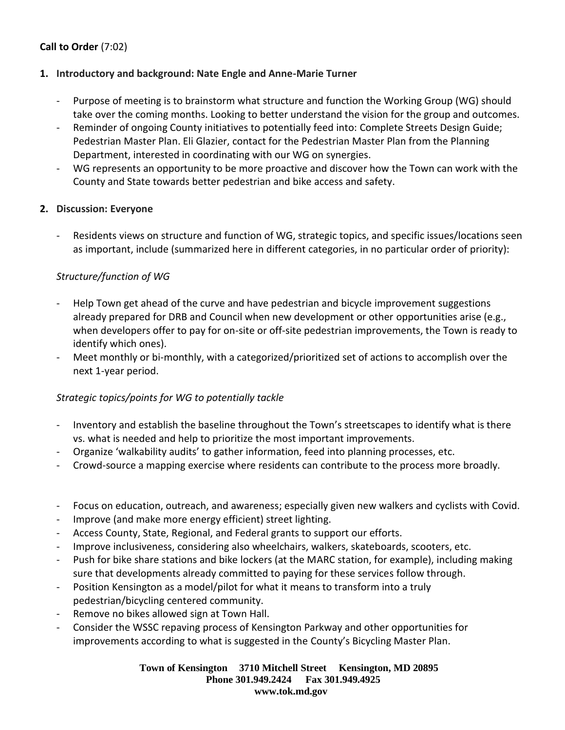## **Call to Order** (7:02)

#### **1. Introductory and background: Nate Engle and Anne-Marie Turner**

- Purpose of meeting is to brainstorm what structure and function the Working Group (WG) should take over the coming months. Looking to better understand the vision for the group and outcomes.
- Reminder of ongoing County initiatives to potentially feed into: Complete Streets Design Guide; Pedestrian Master Plan. Eli Glazier, contact for the Pedestrian Master Plan from the Planning Department, interested in coordinating with our WG on synergies.
- WG represents an opportunity to be more proactive and discover how the Town can work with the County and State towards better pedestrian and bike access and safety.

#### **2. Discussion: Everyone**

- Residents views on structure and function of WG, strategic topics, and specific issues/locations seen as important, include (summarized here in different categories, in no particular order of priority):

#### *Structure/function of WG*

- Help Town get ahead of the curve and have pedestrian and bicycle improvement suggestions already prepared for DRB and Council when new development or other opportunities arise (e.g., when developers offer to pay for on-site or off-site pedestrian improvements, the Town is ready to identify which ones).
- Meet monthly or bi-monthly, with a categorized/prioritized set of actions to accomplish over the next 1-year period.

#### *Strategic topics/points for WG to potentially tackle*

- Inventory and establish the baseline throughout the Town's streetscapes to identify what is there vs. what is needed and help to prioritize the most important improvements.
- Organize 'walkability audits' to gather information, feed into planning processes, etc.
- Crowd-source a mapping exercise where residents can contribute to the process more broadly.
- Focus on education, outreach, and awareness; especially given new walkers and cyclists with Covid.
- Improve (and make more energy efficient) street lighting.
- Access County, State, Regional, and Federal grants to support our efforts.
- Improve inclusiveness, considering also wheelchairs, walkers, skateboards, scooters, etc.
- Push for bike share stations and bike lockers (at the MARC station, for example), including making sure that developments already committed to paying for these services follow through.
- Position Kensington as a model/pilot for what it means to transform into a truly pedestrian/bicycling centered community.
- Remove no bikes allowed sign at Town Hall.
- Consider the WSSC repaving process of Kensington Parkway and other opportunities for improvements according to what is suggested in the County's Bicycling Master Plan.

**Town of Kensington 3710 Mitchell Street Kensington, MD 20895 Phone 301.949.2424 Fax 301.949.4925 www.tok.md.gov**